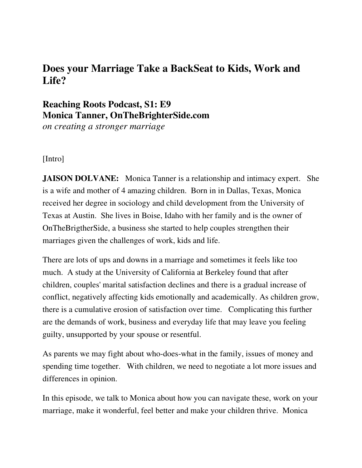## **Does your Marriage Take a BackSeat to Kids, Work and Life?**

## **Reaching Roots Podcast, S1: E9 Monica Tanner, OnTheBrighterSide.com**

*on creating a stronger marriage* 

[Intro]

**JAISON DOLVANE:** Monica Tanner is a relationship and intimacy expert. She is a wife and mother of 4 amazing children. Born in in Dallas, Texas, Monica received her degree in sociology and child development from the University of Texas at Austin. She lives in Boise, Idaho with her family and is the owner of OnTheBrigtherSide, a business she started to help couples strengthen their marriages given the challenges of work, kids and life.

There are lots of ups and downs in a marriage and sometimes it feels like too much. A study at the University of California at Berkeley found that after children, couples' marital satisfaction declines and there is a gradual increase of conflict, negatively affecting kids emotionally and academically. As children grow, there is a cumulative erosion of satisfaction over time. Complicating this further are the demands of work, business and everyday life that may leave you feeling guilty, unsupported by your spouse or resentful.

As parents we may fight about who-does-what in the family, issues of money and spending time together. With children, we need to negotiate a lot more issues and differences in opinion.

In this episode, we talk to Monica about how you can navigate these, work on your marriage, make it wonderful, feel better and make your children thrive. Monica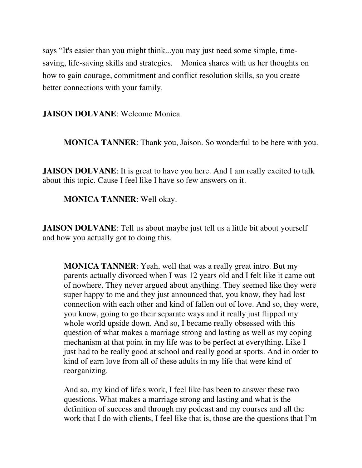says "It's easier than you might think...you may just need some simple, timesaving, life-saving skills and strategies. Monica shares with us her thoughts on how to gain courage, commitment and conflict resolution skills, so you create better connections with your family.

**JAISON DOLVANE**: Welcome Monica.

**MONICA TANNER**: Thank you, Jaison. So wonderful to be here with you.

**JAISON DOLVANE:** It is great to have you here. And I am really excited to talk about this topic. Cause I feel like I have so few answers on it.

**MONICA TANNER**: Well okay.

**JAISON DOLVANE:** Tell us about maybe just tell us a little bit about yourself and how you actually got to doing this.

**MONICA TANNER**: Yeah, well that was a really great intro. But my parents actually divorced when I was 12 years old and I felt like it came out of nowhere. They never argued about anything. They seemed like they were super happy to me and they just announced that, you know, they had lost connection with each other and kind of fallen out of love. And so, they were, you know, going to go their separate ways and it really just flipped my whole world upside down. And so, I became really obsessed with this question of what makes a marriage strong and lasting as well as my coping mechanism at that point in my life was to be perfect at everything. Like I just had to be really good at school and really good at sports. And in order to kind of earn love from all of these adults in my life that were kind of reorganizing.

And so, my kind of life's work, I feel like has been to answer these two questions. What makes a marriage strong and lasting and what is the definition of success and through my podcast and my courses and all the work that I do with clients, I feel like that is, those are the questions that I'm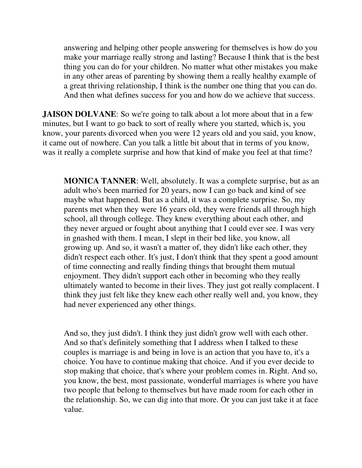answering and helping other people answering for themselves is how do you make your marriage really strong and lasting? Because I think that is the best thing you can do for your children. No matter what other mistakes you make in any other areas of parenting by showing them a really healthy example of a great thriving relationship, I think is the number one thing that you can do. And then what defines success for you and how do we achieve that success.

**JAISON DOLVANE:** So we're going to talk about a lot more about that in a few minutes, but I want to go back to sort of really where you started, which is, you know, your parents divorced when you were 12 years old and you said, you know, it came out of nowhere. Can you talk a little bit about that in terms of you know, was it really a complete surprise and how that kind of make you feel at that time?

**MONICA TANNER**: Well, absolutely. It was a complete surprise, but as an adult who's been married for 20 years, now I can go back and kind of see maybe what happened. But as a child, it was a complete surprise. So, my parents met when they were 16 years old, they were friends all through high school, all through college. They knew everything about each other, and they never argued or fought about anything that I could ever see. I was very in gnashed with them. I mean, I slept in their bed like, you know, all growing up. And so, it wasn't a matter of, they didn't like each other, they didn't respect each other. It's just, I don't think that they spent a good amount of time connecting and really finding things that brought them mutual enjoyment. They didn't support each other in becoming who they really ultimately wanted to become in their lives. They just got really complacent. I think they just felt like they knew each other really well and, you know, they had never experienced any other things.

And so, they just didn't. I think they just didn't grow well with each other. And so that's definitely something that I address when I talked to these couples is marriage is and being in love is an action that you have to, it's a choice. You have to continue making that choice. And if you ever decide to stop making that choice, that's where your problem comes in. Right. And so, you know, the best, most passionate, wonderful marriages is where you have two people that belong to themselves but have made room for each other in the relationship. So, we can dig into that more. Or you can just take it at face value.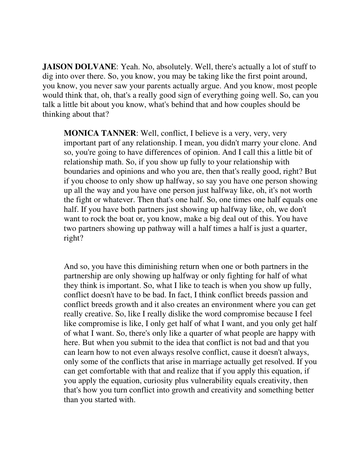**JAISON DOLVANE:** Yeah. No, absolutely. Well, there's actually a lot of stuff to dig into over there. So, you know, you may be taking like the first point around, you know, you never saw your parents actually argue. And you know, most people would think that, oh, that's a really good sign of everything going well. So, can you talk a little bit about you know, what's behind that and how couples should be thinking about that?

**MONICA TANNER**: Well, conflict, I believe is a very, very, very important part of any relationship. I mean, you didn't marry your clone. And so, you're going to have differences of opinion. And I call this a little bit of relationship math. So, if you show up fully to your relationship with boundaries and opinions and who you are, then that's really good, right? But if you choose to only show up halfway, so say you have one person showing up all the way and you have one person just halfway like, oh, it's not worth the fight or whatever. Then that's one half. So, one times one half equals one half. If you have both partners just showing up halfway like, oh, we don't want to rock the boat or, you know, make a big deal out of this. You have two partners showing up pathway will a half times a half is just a quarter, right?

And so, you have this diminishing return when one or both partners in the partnership are only showing up halfway or only fighting for half of what they think is important. So, what I like to teach is when you show up fully, conflict doesn't have to be bad. In fact, I think conflict breeds passion and conflict breeds growth and it also creates an environment where you can get really creative. So, like I really dislike the word compromise because I feel like compromise is like, I only get half of what I want, and you only get half of what I want. So, there's only like a quarter of what people are happy with here. But when you submit to the idea that conflict is not bad and that you can learn how to not even always resolve conflict, cause it doesn't always, only some of the conflicts that arise in marriage actually get resolved. If you can get comfortable with that and realize that if you apply this equation, if you apply the equation, curiosity plus vulnerability equals creativity, then that's how you turn conflict into growth and creativity and something better than you started with.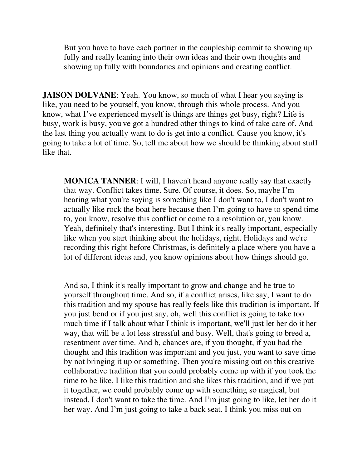But you have to have each partner in the coupleship commit to showing up fully and really leaning into their own ideas and their own thoughts and showing up fully with boundaries and opinions and creating conflict.

**JAISON DOLVANE:** Yeah. You know, so much of what I hear you saying is like, you need to be yourself, you know, through this whole process. And you know, what I've experienced myself is things are things get busy, right? Life is busy, work is busy, you've got a hundred other things to kind of take care of. And the last thing you actually want to do is get into a conflict. Cause you know, it's going to take a lot of time. So, tell me about how we should be thinking about stuff like that.

**MONICA TANNER**: I will, I haven't heard anyone really say that exactly that way. Conflict takes time. Sure. Of course, it does. So, maybe I'm hearing what you're saying is something like I don't want to, I don't want to actually like rock the boat here because then I'm going to have to spend time to, you know, resolve this conflict or come to a resolution or, you know. Yeah, definitely that's interesting. But I think it's really important, especially like when you start thinking about the holidays, right. Holidays and we're recording this right before Christmas, is definitely a place where you have a lot of different ideas and, you know opinions about how things should go.

And so, I think it's really important to grow and change and be true to yourself throughout time. And so, if a conflict arises, like say, I want to do this tradition and my spouse has really feels like this tradition is important. If you just bend or if you just say, oh, well this conflict is going to take too much time if I talk about what I think is important, we'll just let her do it her way, that will be a lot less stressful and busy. Well, that's going to breed a, resentment over time. And b, chances are, if you thought, if you had the thought and this tradition was important and you just, you want to save time by not bringing it up or something. Then you're missing out on this creative collaborative tradition that you could probably come up with if you took the time to be like, I like this tradition and she likes this tradition, and if we put it together, we could probably come up with something so magical, but instead, I don't want to take the time. And I'm just going to like, let her do it her way. And I'm just going to take a back seat. I think you miss out on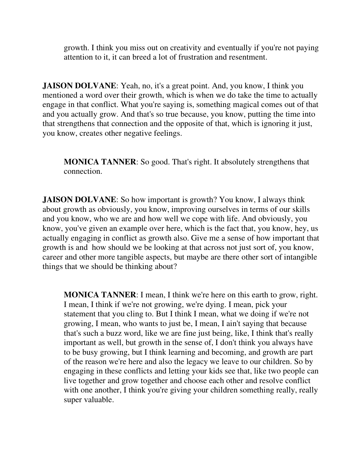growth. I think you miss out on creativity and eventually if you're not paying attention to it, it can breed a lot of frustration and resentment.

**JAISON DOLVANE**: Yeah, no, it's a great point. And, you know, I think you mentioned a word over their growth, which is when we do take the time to actually engage in that conflict. What you're saying is, something magical comes out of that and you actually grow. And that's so true because, you know, putting the time into that strengthens that connection and the opposite of that, which is ignoring it just, you know, creates other negative feelings.

**MONICA TANNER**: So good. That's right. It absolutely strengthens that connection.

**JAISON DOLVANE:** So how important is growth? You know, I always think about growth as obviously, you know, improving ourselves in terms of our skills and you know, who we are and how well we cope with life. And obviously, you know, you've given an example over here, which is the fact that, you know, hey, us actually engaging in conflict as growth also. Give me a sense of how important that growth is and how should we be looking at that across not just sort of, you know, career and other more tangible aspects, but maybe are there other sort of intangible things that we should be thinking about?

**MONICA TANNER**: I mean, I think we're here on this earth to grow, right. I mean, I think if we're not growing, we're dying. I mean, pick your statement that you cling to. But I think I mean, what we doing if we're not growing, I mean, who wants to just be, I mean, I ain't saying that because that's such a buzz word, like we are fine just being, like, I think that's really important as well, but growth in the sense of, I don't think you always have to be busy growing, but I think learning and becoming, and growth are part of the reason we're here and also the legacy we leave to our children. So by engaging in these conflicts and letting your kids see that, like two people can live together and grow together and choose each other and resolve conflict with one another, I think you're giving your children something really, really super valuable.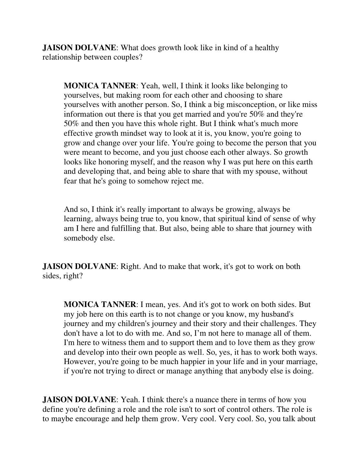**JAISON DOLVANE:** What does growth look like in kind of a healthy relationship between couples?

**MONICA TANNER**: Yeah, well, I think it looks like belonging to yourselves, but making room for each other and choosing to share yourselves with another person. So, I think a big misconception, or like miss information out there is that you get married and you're 50% and they're 50% and then you have this whole right. But I think what's much more effective growth mindset way to look at it is, you know, you're going to grow and change over your life. You're going to become the person that you were meant to become, and you just choose each other always. So growth looks like honoring myself, and the reason why I was put here on this earth and developing that, and being able to share that with my spouse, without fear that he's going to somehow reject me.

And so, I think it's really important to always be growing, always be learning, always being true to, you know, that spiritual kind of sense of why am I here and fulfilling that. But also, being able to share that journey with somebody else.

**JAISON DOLVANE:** Right. And to make that work, it's got to work on both sides, right?

**MONICA TANNER**: I mean, yes. And it's got to work on both sides. But my job here on this earth is to not change or you know, my husband's journey and my children's journey and their story and their challenges. They don't have a lot to do with me. And so, I'm not here to manage all of them. I'm here to witness them and to support them and to love them as they grow and develop into their own people as well. So, yes, it has to work both ways. However, you're going to be much happier in your life and in your marriage, if you're not trying to direct or manage anything that anybody else is doing.

**JAISON DOLVANE:** Yeah. I think there's a nuance there in terms of how you define you're defining a role and the role isn't to sort of control others. The role is to maybe encourage and help them grow. Very cool. Very cool. So, you talk about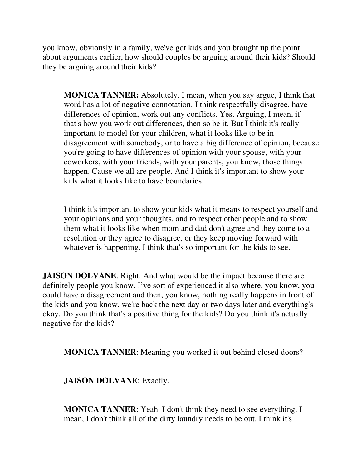you know, obviously in a family, we've got kids and you brought up the point about arguments earlier, how should couples be arguing around their kids? Should they be arguing around their kids?

**MONICA TANNER:** Absolutely. I mean, when you say argue, I think that word has a lot of negative connotation. I think respectfully disagree, have differences of opinion, work out any conflicts. Yes. Arguing, I mean, if that's how you work out differences, then so be it. But I think it's really important to model for your children, what it looks like to be in disagreement with somebody, or to have a big difference of opinion, because you're going to have differences of opinion with your spouse, with your coworkers, with your friends, with your parents, you know, those things happen. Cause we all are people. And I think it's important to show your kids what it looks like to have boundaries.

I think it's important to show your kids what it means to respect yourself and your opinions and your thoughts, and to respect other people and to show them what it looks like when mom and dad don't agree and they come to a resolution or they agree to disagree, or they keep moving forward with whatever is happening. I think that's so important for the kids to see.

**JAISON DOLVANE:** Right. And what would be the impact because there are definitely people you know, I've sort of experienced it also where, you know, you could have a disagreement and then, you know, nothing really happens in front of the kids and you know, we're back the next day or two days later and everything's okay. Do you think that's a positive thing for the kids? Do you think it's actually negative for the kids?

**MONICA TANNER**: Meaning you worked it out behind closed doors?

**JAISON DOLVANE**: Exactly.

**MONICA TANNER**: Yeah. I don't think they need to see everything. I mean, I don't think all of the dirty laundry needs to be out. I think it's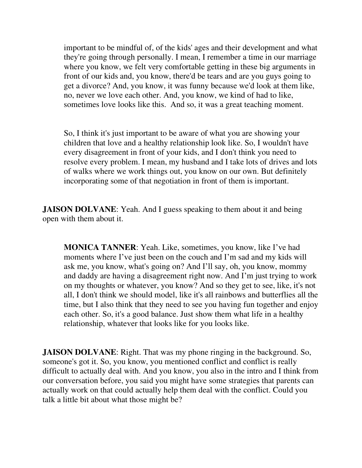important to be mindful of, of the kids' ages and their development and what they're going through personally. I mean, I remember a time in our marriage where you know, we felt very comfortable getting in these big arguments in front of our kids and, you know, there'd be tears and are you guys going to get a divorce? And, you know, it was funny because we'd look at them like, no, never we love each other. And, you know, we kind of had to like, sometimes love looks like this. And so, it was a great teaching moment.

So, I think it's just important to be aware of what you are showing your children that love and a healthy relationship look like. So, I wouldn't have every disagreement in front of your kids, and I don't think you need to resolve every problem. I mean, my husband and I take lots of drives and lots of walks where we work things out, you know on our own. But definitely incorporating some of that negotiation in front of them is important.

**JAISON DOLVANE:** Yeah. And I guess speaking to them about it and being open with them about it.

**MONICA TANNER**: Yeah. Like, sometimes, you know, like I've had moments where I've just been on the couch and I'm sad and my kids will ask me, you know, what's going on? And I'll say, oh, you know, mommy and daddy are having a disagreement right now. And I'm just trying to work on my thoughts or whatever, you know? And so they get to see, like, it's not all, I don't think we should model, like it's all rainbows and butterflies all the time, but I also think that they need to see you having fun together and enjoy each other. So, it's a good balance. Just show them what life in a healthy relationship, whatever that looks like for you looks like.

**JAISON DOLVANE**: Right. That was my phone ringing in the background. So, someone's got it. So, you know, you mentioned conflict and conflict is really difficult to actually deal with. And you know, you also in the intro and I think from our conversation before, you said you might have some strategies that parents can actually work on that could actually help them deal with the conflict. Could you talk a little bit about what those might be?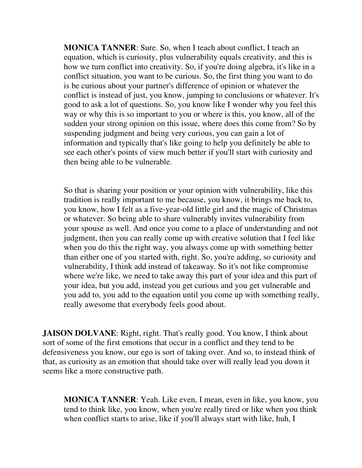**MONICA TANNER**: Sure. So, when I teach about conflict, I teach an equation, which is curiosity, plus vulnerability equals creativity, and this is how we turn conflict into creativity. So, if you're doing algebra, it's like in a conflict situation, you want to be curious. So, the first thing you want to do is be curious about your partner's difference of opinion or whatever the conflict is instead of just, you know, jumping to conclusions or whatever. It's good to ask a lot of questions. So, you know like I wonder why you feel this way or why this is so important to you or where is this, you know, all of the sudden your strong opinion on this issue, where does this come from? So by suspending judgment and being very curious, you can gain a lot of information and typically that's like going to help you definitely be able to see each other's points of view much better if you'll start with curiosity and then being able to be vulnerable.

So that is sharing your position or your opinion with vulnerability, like this tradition is really important to me because, you know, it brings me back to, you know, how I felt as a five-year-old little girl and the magic of Christmas or whatever. So being able to share vulnerably invites vulnerability from your spouse as well. And once you come to a place of understanding and not judgment, then you can really come up with creative solution that I feel like when you do this the right way, you always come up with something better than either one of you started with, right. So, you're adding, so curiosity and vulnerability, I think add instead of takeaway. So it's not like compromise where we're like, we need to take away this part of your idea and this part of your idea, but you add, instead you get curious and you get vulnerable and you add to, you add to the equation until you come up with something really, really awesome that everybody feels good about.

**JAISON DOLVANE:** Right, right. That's really good. You know, I think about sort of some of the first emotions that occur in a conflict and they tend to be defensiveness you know, our ego is sort of taking over. And so, to instead think of that, as curiosity as an emotion that should take over will really lead you down it seems like a more constructive path.

**MONICA TANNER**: Yeah. Like even, I mean, even in like, you know, you tend to think like, you know, when you're really tired or like when you think when conflict starts to arise, like if you'll always start with like, huh, I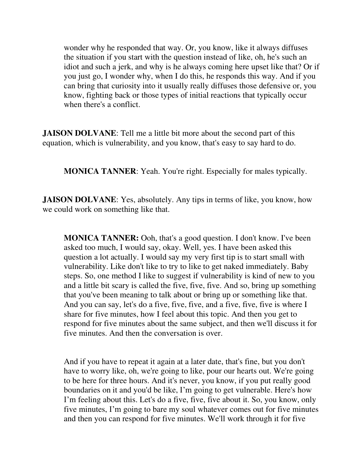wonder why he responded that way. Or, you know, like it always diffuses the situation if you start with the question instead of like, oh, he's such an idiot and such a jerk, and why is he always coming here upset like that? Or if you just go, I wonder why, when I do this, he responds this way. And if you can bring that curiosity into it usually really diffuses those defensive or, you know, fighting back or those types of initial reactions that typically occur when there's a conflict.

**JAISON DOLVANE:** Tell me a little bit more about the second part of this equation, which is vulnerability, and you know, that's easy to say hard to do.

**MONICA TANNER:** Yeah. You're right. Especially for males typically.

**JAISON DOLVANE:** Yes, absolutely. Any tips in terms of like, you know, how we could work on something like that.

**MONICA TANNER:** Ooh, that's a good question. I don't know. I've been asked too much, I would say, okay. Well, yes. I have been asked this question a lot actually. I would say my very first tip is to start small with vulnerability. Like don't like to try to like to get naked immediately. Baby steps. So, one method I like to suggest if vulnerability is kind of new to you and a little bit scary is called the five, five, five. And so, bring up something that you've been meaning to talk about or bring up or something like that. And you can say, let's do a five, five, five, and a five, five, five is where I share for five minutes, how I feel about this topic. And then you get to respond for five minutes about the same subject, and then we'll discuss it for five minutes. And then the conversation is over.

And if you have to repeat it again at a later date, that's fine, but you don't have to worry like, oh, we're going to like, pour our hearts out. We're going to be here for three hours. And it's never, you know, if you put really good boundaries on it and you'd be like, I'm going to get vulnerable. Here's how I'm feeling about this. Let's do a five, five, five about it. So, you know, only five minutes, I'm going to bare my soul whatever comes out for five minutes and then you can respond for five minutes. We'll work through it for five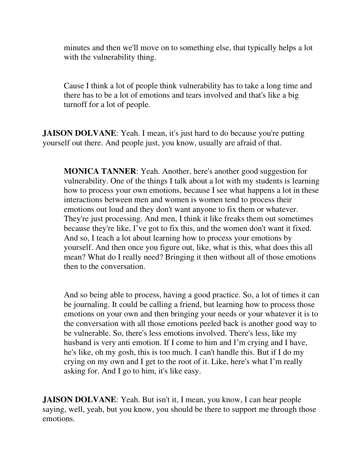minutes and then we'll move on to something else, that typically helps a lot with the vulnerability thing.

Cause I think a lot of people think vulnerability has to take a long time and there has to be a lot of emotions and tears involved and that's like a big turnoff for a lot of people.

**JAISON DOLVANE:** Yeah. I mean, it's just hard to do because you're putting yourself out there. And people just, you know, usually are afraid of that.

**MONICA TANNER**: Yeah. Another, here's another good suggestion for vulnerability. One of the things I talk about a lot with my students is learning how to process your own emotions, because I see what happens a lot in these interactions between men and women is women tend to process their emotions out loud and they don't want anyone to fix them or whatever. They're just processing. And men, I think it like freaks them out sometimes because they're like, I've got to fix this, and the women don't want it fixed. And so, I teach a lot about learning how to process your emotions by yourself. And then once you figure out, like, what is this, what does this all mean? What do I really need? Bringing it then without all of those emotions then to the conversation.

And so being able to process, having a good practice. So, a lot of times it can be journaling. It could be calling a friend, but learning how to process those emotions on your own and then bringing your needs or your whatever it is to the conversation with all those emotions peeled back is another good way to be vulnerable. So, there's less emotions involved. There's less, like my husband is very anti emotion. If I come to him and I'm crying and I have, he's like, oh my gosh, this is too much. I can't handle this. But if I do my crying on my own and I get to the root of it. Like, here's what I'm really asking for. And I go to him, it's like easy.

**JAISON DOLVANE:** Yeah. But isn't it, I mean, you know, I can hear people saying, well, yeah, but you know, you should be there to support me through those emotions.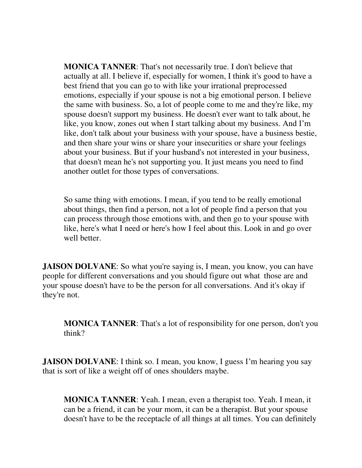**MONICA TANNER**: That's not necessarily true. I don't believe that actually at all. I believe if, especially for women, I think it's good to have a best friend that you can go to with like your irrational preprocessed emotions, especially if your spouse is not a big emotional person. I believe the same with business. So, a lot of people come to me and they're like, my spouse doesn't support my business. He doesn't ever want to talk about, he like, you know, zones out when I start talking about my business. And I'm like, don't talk about your business with your spouse, have a business bestie, and then share your wins or share your insecurities or share your feelings about your business. But if your husband's not interested in your business, that doesn't mean he's not supporting you. It just means you need to find another outlet for those types of conversations.

So same thing with emotions. I mean, if you tend to be really emotional about things, then find a person, not a lot of people find a person that you can process through those emotions with, and then go to your spouse with like, here's what I need or here's how I feel about this. Look in and go over well better.

**JAISON DOLVANE**: So what you're saying is, I mean, you know, you can have people for different conversations and you should figure out what those are and your spouse doesn't have to be the person for all conversations. And it's okay if they're not.

**MONICA TANNER**: That's a lot of responsibility for one person, don't you think?

**JAISON DOLVANE:** I think so. I mean, you know, I guess I'm hearing you say that is sort of like a weight off of ones shoulders maybe.

**MONICA TANNER**: Yeah. I mean, even a therapist too. Yeah. I mean, it can be a friend, it can be your mom, it can be a therapist. But your spouse doesn't have to be the receptacle of all things at all times. You can definitely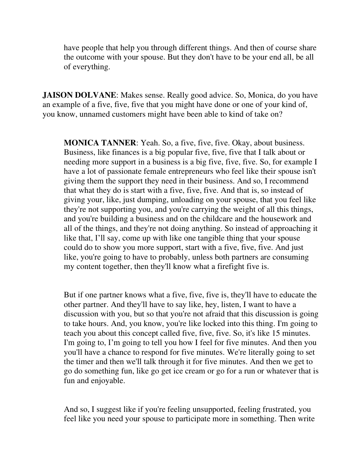have people that help you through different things. And then of course share the outcome with your spouse. But they don't have to be your end all, be all of everything.

**JAISON DOLVANE**: Makes sense. Really good advice. So, Monica, do you have an example of a five, five, five that you might have done or one of your kind of, you know, unnamed customers might have been able to kind of take on?

**MONICA TANNER**: Yeah. So, a five, five, five. Okay, about business. Business, like finances is a big popular five, five, five that I talk about or needing more support in a business is a big five, five, five. So, for example I have a lot of passionate female entrepreneurs who feel like their spouse isn't giving them the support they need in their business. And so, I recommend that what they do is start with a five, five, five. And that is, so instead of giving your, like, just dumping, unloading on your spouse, that you feel like they're not supporting you, and you're carrying the weight of all this things, and you're building a business and on the childcare and the housework and all of the things, and they're not doing anything. So instead of approaching it like that, I'll say, come up with like one tangible thing that your spouse could do to show you more support, start with a five, five, five. And just like, you're going to have to probably, unless both partners are consuming my content together, then they'll know what a firefight five is.

But if one partner knows what a five, five, five is, they'll have to educate the other partner. And they'll have to say like, hey, listen, I want to have a discussion with you, but so that you're not afraid that this discussion is going to take hours. And, you know, you're like locked into this thing. I'm going to teach you about this concept called five, five, five. So, it's like 15 minutes. I'm going to, I'm going to tell you how I feel for five minutes. And then you you'll have a chance to respond for five minutes. We're literally going to set the timer and then we'll talk through it for five minutes. And then we get to go do something fun, like go get ice cream or go for a run or whatever that is fun and enjoyable.

And so, I suggest like if you're feeling unsupported, feeling frustrated, you feel like you need your spouse to participate more in something. Then write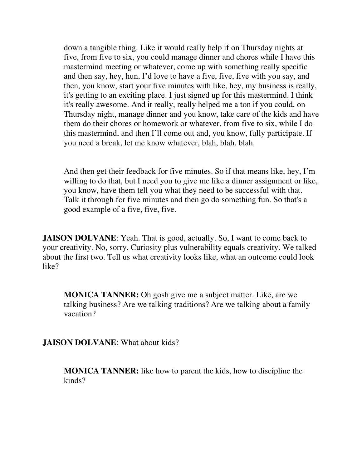down a tangible thing. Like it would really help if on Thursday nights at five, from five to six, you could manage dinner and chores while I have this mastermind meeting or whatever, come up with something really specific and then say, hey, hun, I'd love to have a five, five, five with you say, and then, you know, start your five minutes with like, hey, my business is really, it's getting to an exciting place. I just signed up for this mastermind. I think it's really awesome. And it really, really helped me a ton if you could, on Thursday night, manage dinner and you know, take care of the kids and have them do their chores or homework or whatever, from five to six, while I do this mastermind, and then I'll come out and, you know, fully participate. If you need a break, let me know whatever, blah, blah, blah.

And then get their feedback for five minutes. So if that means like, hey, I'm willing to do that, but I need you to give me like a dinner assignment or like, you know, have them tell you what they need to be successful with that. Talk it through for five minutes and then go do something fun. So that's a good example of a five, five, five.

**JAISON DOLVANE:** Yeah. That is good, actually. So, I want to come back to your creativity. No, sorry. Curiosity plus vulnerability equals creativity. We talked about the first two. Tell us what creativity looks like, what an outcome could look like?

**MONICA TANNER:** Oh gosh give me a subject matter. Like, are we talking business? Are we talking traditions? Are we talking about a family vacation?

**JAISON DOLVANE**: What about kids?

**MONICA TANNER:** like how to parent the kids, how to discipline the kinds?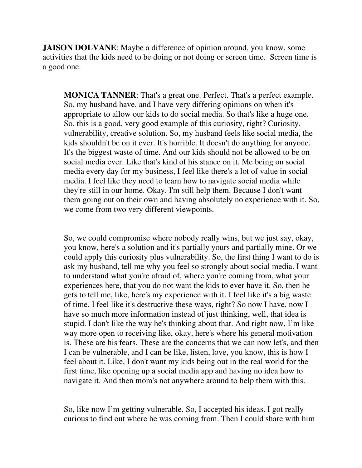**JAISON DOLVANE:** Maybe a difference of opinion around, you know, some activities that the kids need to be doing or not doing or screen time. Screen time is a good one.

**MONICA TANNER**: That's a great one. Perfect. That's a perfect example. So, my husband have, and I have very differing opinions on when it's appropriate to allow our kids to do social media. So that's like a huge one. So, this is a good, very good example of this curiosity, right? Curiosity, vulnerability, creative solution. So, my husband feels like social media, the kids shouldn't be on it ever. It's horrible. It doesn't do anything for anyone. It's the biggest waste of time. And our kids should not be allowed to be on social media ever. Like that's kind of his stance on it. Me being on social media every day for my business, I feel like there's a lot of value in social media. I feel like they need to learn how to navigate social media while they're still in our home. Okay. I'm still help them. Because I don't want them going out on their own and having absolutely no experience with it. So, we come from two very different viewpoints.

So, we could compromise where nobody really wins, but we just say, okay, you know, here's a solution and it's partially yours and partially mine. Or we could apply this curiosity plus vulnerability. So, the first thing I want to do is ask my husband, tell me why you feel so strongly about social media. I want to understand what you're afraid of, where you're coming from, what your experiences here, that you do not want the kids to ever have it. So, then he gets to tell me, like, here's my experience with it. I feel like it's a big waste of time. I feel like it's destructive these ways, right? So now I have, now I have so much more information instead of just thinking, well, that idea is stupid. I don't like the way he's thinking about that. And right now, I'm like way more open to receiving like, okay, here's where his general motivation is. These are his fears. These are the concerns that we can now let's, and then I can be vulnerable, and I can be like, listen, love, you know, this is how I feel about it. Like, I don't want my kids being out in the real world for the first time, like opening up a social media app and having no idea how to navigate it. And then mom's not anywhere around to help them with this.

So, like now I'm getting vulnerable. So, I accepted his ideas. I got really curious to find out where he was coming from. Then I could share with him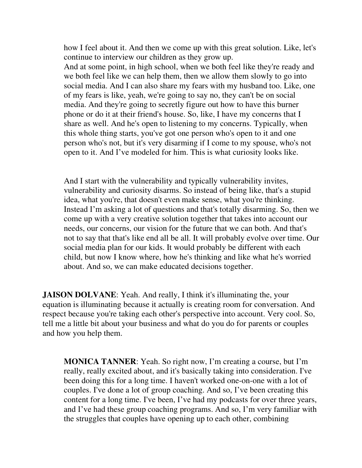how I feel about it. And then we come up with this great solution. Like, let's continue to interview our children as they grow up.

And at some point, in high school, when we both feel like they're ready and we both feel like we can help them, then we allow them slowly to go into social media. And I can also share my fears with my husband too. Like, one of my fears is like, yeah, we're going to say no, they can't be on social media. And they're going to secretly figure out how to have this burner phone or do it at their friend's house. So, like, I have my concerns that I share as well. And he's open to listening to my concerns. Typically, when this whole thing starts, you've got one person who's open to it and one person who's not, but it's very disarming if I come to my spouse, who's not open to it. And I've modeled for him. This is what curiosity looks like.

And I start with the vulnerability and typically vulnerability invites, vulnerability and curiosity disarms. So instead of being like, that's a stupid idea, what you're, that doesn't even make sense, what you're thinking. Instead I'm asking a lot of questions and that's totally disarming. So, then we come up with a very creative solution together that takes into account our needs, our concerns, our vision for the future that we can both. And that's not to say that that's like end all be all. It will probably evolve over time. Our social media plan for our kids. It would probably be different with each child, but now I know where, how he's thinking and like what he's worried about. And so, we can make educated decisions together.

**JAISON DOLVANE:** Yeah. And really, I think it's illuminating the, your equation is illuminating because it actually is creating room for conversation. And respect because you're taking each other's perspective into account. Very cool. So, tell me a little bit about your business and what do you do for parents or couples and how you help them.

**MONICA TANNER**: Yeah. So right now, I'm creating a course, but I'm really, really excited about, and it's basically taking into consideration. I've been doing this for a long time. I haven't worked one-on-one with a lot of couples. I've done a lot of group coaching. And so, I've been creating this content for a long time. I've been, I've had my podcasts for over three years, and I've had these group coaching programs. And so, I'm very familiar with the struggles that couples have opening up to each other, combining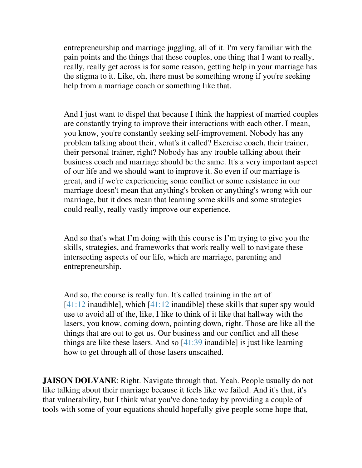entrepreneurship and marriage juggling, all of it. I'm very familiar with the pain points and the things that these couples, one thing that I want to really, really, really get across is for some reason, getting help in your marriage has the stigma to it. Like, oh, there must be something wrong if you're seeking help from a marriage coach or something like that.

And I just want to dispel that because I think the happiest of married couples are constantly trying to improve their interactions with each other. I mean, you know, you're constantly seeking self-improvement. Nobody has any problem talking about their, what's it called? Exercise coach, their trainer, their personal trainer, right? Nobody has any trouble talking about their business coach and marriage should be the same. It's a very important aspect of our life and we should want to improve it. So even if our marriage is great, and if we're experiencing some conflict or some resistance in our marriage doesn't mean that anything's broken or anything's wrong with our marriage, but it does mean that learning some skills and some strategies could really, really vastly improve our experience.

And so that's what I'm doing with this course is I'm trying to give you the skills, strategies, and frameworks that work really well to navigate these intersecting aspects of our life, which are marriage, parenting and entrepreneurship.

And so, the course is really fun. It's called training in the art of  $[41:12$  inaudible], which  $[41:12$  inaudible] these skills that super spy would use to avoid all of the, like, I like to think of it like that hallway with the lasers, you know, coming down, pointing down, right. Those are like all the things that are out to get us. Our business and our conflict and all these things are like these lasers. And so [41:39 inaudible] is just like learning how to get through all of those lasers unscathed.

**JAISON DOLVANE:** Right. Navigate through that. Yeah. People usually do not like talking about their marriage because it feels like we failed. And it's that, it's that vulnerability, but I think what you've done today by providing a couple of tools with some of your equations should hopefully give people some hope that,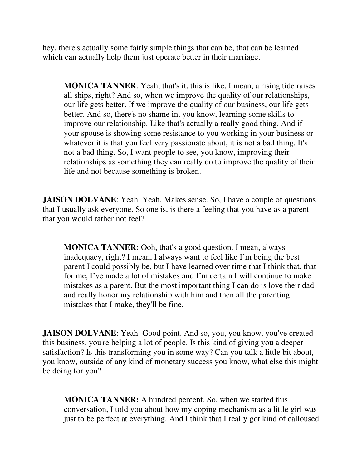hey, there's actually some fairly simple things that can be, that can be learned which can actually help them just operate better in their marriage.

**MONICA TANNER**: Yeah, that's it, this is like, I mean, a rising tide raises all ships, right? And so, when we improve the quality of our relationships, our life gets better. If we improve the quality of our business, our life gets better. And so, there's no shame in, you know, learning some skills to improve our relationship. Like that's actually a really good thing. And if your spouse is showing some resistance to you working in your business or whatever it is that you feel very passionate about, it is not a bad thing. It's not a bad thing. So, I want people to see, you know, improving their relationships as something they can really do to improve the quality of their life and not because something is broken.

**JAISON DOLVANE:** Yeah. Yeah. Makes sense. So, I have a couple of questions that I usually ask everyone. So one is, is there a feeling that you have as a parent that you would rather not feel?

**MONICA TANNER:** Ooh, that's a good question. I mean, always inadequacy, right? I mean, I always want to feel like I'm being the best parent I could possibly be, but I have learned over time that I think that, that for me, I've made a lot of mistakes and I'm certain I will continue to make mistakes as a parent. But the most important thing I can do is love their dad and really honor my relationship with him and then all the parenting mistakes that I make, they'll be fine.

**JAISON DOLVANE:** Yeah. Good point. And so, you, you know, you've created this business, you're helping a lot of people. Is this kind of giving you a deeper satisfaction? Is this transforming you in some way? Can you talk a little bit about, you know, outside of any kind of monetary success you know, what else this might be doing for you?

**MONICA TANNER:** A hundred percent. So, when we started this conversation, I told you about how my coping mechanism as a little girl was just to be perfect at everything. And I think that I really got kind of calloused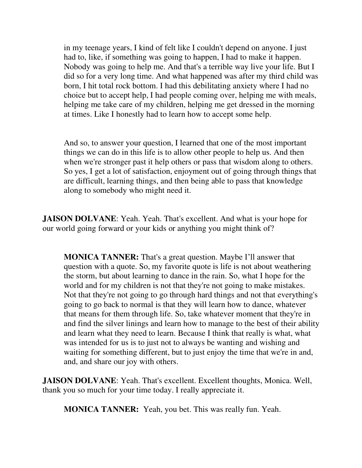in my teenage years, I kind of felt like I couldn't depend on anyone. I just had to, like, if something was going to happen, I had to make it happen. Nobody was going to help me. And that's a terrible way live your life. But I did so for a very long time. And what happened was after my third child was born, I hit total rock bottom. I had this debilitating anxiety where I had no choice but to accept help, I had people coming over, helping me with meals, helping me take care of my children, helping me get dressed in the morning at times. Like I honestly had to learn how to accept some help.

And so, to answer your question, I learned that one of the most important things we can do in this life is to allow other people to help us. And then when we're stronger past it help others or pass that wisdom along to others. So yes, I get a lot of satisfaction, enjoyment out of going through things that are difficult, learning things, and then being able to pass that knowledge along to somebody who might need it.

**JAISON DOLVANE**: Yeah. Yeah. That's excellent. And what is your hope for our world going forward or your kids or anything you might think of?

**MONICA TANNER:** That's a great question. Maybe I'll answer that question with a quote. So, my favorite quote is life is not about weathering the storm, but about learning to dance in the rain. So, what I hope for the world and for my children is not that they're not going to make mistakes. Not that they're not going to go through hard things and not that everything's going to go back to normal is that they will learn how to dance, whatever that means for them through life. So, take whatever moment that they're in and find the silver linings and learn how to manage to the best of their ability and learn what they need to learn. Because I think that really is what, what was intended for us is to just not to always be wanting and wishing and waiting for something different, but to just enjoy the time that we're in and, and, and share our joy with others.

**JAISON DOLVANE**: Yeah. That's excellent. Excellent thoughts, Monica. Well, thank you so much for your time today. I really appreciate it.

**MONICA TANNER:** Yeah, you bet. This was really fun. Yeah.